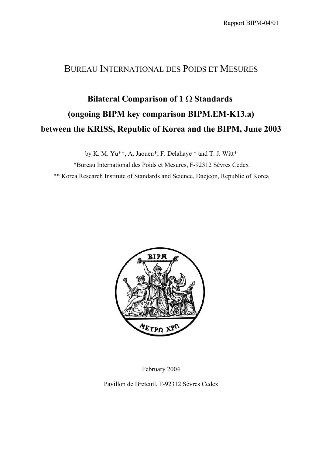## BUREAU INTERNATIONAL DES POIDS ET MESURES

## **Bilateral Comparison of 1** Ω **Standards (ongoing BIPM key comparison BIPM.EM-K13.a) between the KRISS, Republic of Korea and the BIPM, June 2003**

by K. M. Yu\*\*, A. Jaouen\*, F. Delahaye \* and T. J. Witt\* \*Bureau International des Poids et Mesures, F-92312 Sèvres Cedex \*\* Korea Research Institute of Standards and Science, Daejeon, Republic of Korea



February 2004

Pavillon de Breteuil, F-92312 Sèvres Cedex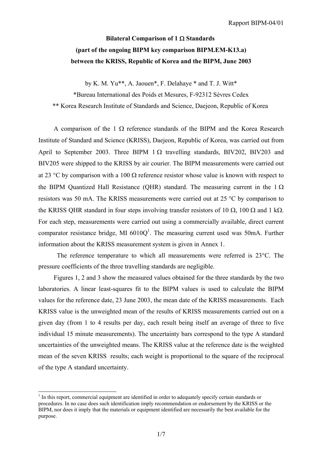## **Bilateral Comparison of 1** Ω **Standards (part of the ongoing BIPM key comparison BIPM.EM-K13.a) between the KRISS, Republic of Korea and the BIPM, June 2003**

by K. M. Yu\*\*, A. Jaouen\*, F. Delahaye \* and T. J. Witt\*

\*Bureau International des Poids et Mesures, F-92312 Sèvres Cedex \*\* Korea Research Institute of Standards and Science, Daejeon, Republic of Korea

A comparison of the 1  $\Omega$  reference standards of the BIPM and the Korea Research Institute of Standard and Science (KRISS), Daejeon, Republic of Korea, was carried out from April to September 2003. Three BIPM  $1 \Omega$  travelling standards, BIV202, BIV203 and BIV205 were shipped to the KRISS by air courier. The BIPM measurements were carried out at 23 °C by comparison with a 100  $\Omega$  reference resistor whose value is known with respect to the BIPM Quantized Hall Resistance (OHR) standard. The measuring current in the 1  $\Omega$ resistors was 50 mA. The KRISS measurements were carried out at 25 °C by comparison to the KRISS QHR standard in four steps involving transfer resistors of 10  $\Omega$ , 100  $\Omega$  and 1 k $\Omega$ . For each step, measurements were carried out using a commercially available, direct current comparator resistance bridge, MI  $6010Q<sup>1</sup>$ . The measuring current used was 50mA. Further information about the KRISS measurement system is given in Annex 1.

 The reference temperature to which all measurements were referred is 23°C. The pressure coefficients of the three travelling standards are negligible.

Figures 1, 2 and 3 show the measured values obtained for the three standards by the two laboratories. A linear least-squares fit to the BIPM values is used to calculate the BIPM values for the reference date, 23 June 2003, the mean date of the KRISS measurements. Each KRISS value is the unweighted mean of the results of KRISS measurements carried out on a given day (from 1 to 4 results per day, each result being itself an average of three to five individual 15 minute measurements). The uncertainty bars correspond to the type A standard uncertainties of the unweighted means. The KRISS value at the reference date is the weighted mean of the seven KRISS results; each weight is proportional to the square of the reciprocal of the type A standard uncertainty.

 $\overline{\phantom{a}}$ 

<span id="page-1-0"></span> $<sup>1</sup>$  In this report, commercial equipment are identified in order to adequately specify certain standards or</sup> procedures. In no case does such identification imply recommendation or endorsement by the KRISS or the BIPM, nor does it imply that the materials or equipment identified are necessarily the best available for the purpose.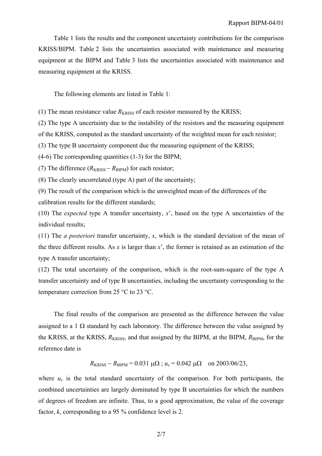Table 1 lists the results and the component uncertainty contributions for the comparison KRISS/BIPM. Table 2 lists the uncertainties associated with maintenance and measuring equipment at the BIPM and Table 3 lists the uncertainties associated with maintenance and measuring equipment at the KRISS.

The following elements are listed in Table 1:

(1) The mean resistance value  $R_{KRISS}$  of each resistor measured by the KRISS;

(2) The type A uncertainty due to the instability of the resistors and the measuring equipment

of the KRISS, computed as the standard uncertainty of the weighted mean for each resistor;

(3) The type B uncertainty component due the measuring equipment of the KRISS;

(4-6) The corresponding quantities (1-3) for the BIPM;

(7) The difference  $(R_{\text{KRISS}} - R_{\text{BIPM}})$  for each resistor;

(8) The clearly uncorrelated (type A) part of the uncertainty;

(9) The result of the comparison which is the unweighted mean of the differences of the calibration results for the different standards;

(10) The *expected* type A transfer uncertainty, *x*', based on the type A uncertainties of the individual results;

(11) The *a posteriori* transfer uncertainty, *x*, which is the standard deviation of the mean of the three different results. As  $x$  is larger than  $x^2$ , the former is retained as an estimation of the type A transfer uncertainty;

(12) The total uncertainty of the comparison, which is the root-sum-square of the type A transfer uncertainty and of type B uncertainties, including the uncertainty corresponding to the temperature correction from 25 °C to 23 °C.

The final results of the comparison are presented as the difference between the value assigned to a 1  $\Omega$  standard by each laboratory. The difference between the value assigned by the KRISS, at the KRISS,  $R_{KRISS}$ , and that assigned by the BIPM, at the BIPM,  $R_{BIPM}$ , for the reference date is

$$
R_{\text{KRISS}} - R_{\text{BIPM}} = 0.031 \ \mu\Omega
$$
;  $u_c = 0.042 \ \mu\Omega$  on 2003/06/23,

where  $u_c$  is the total standard uncertainty of the comparison. For both participants, the combined uncertainties are largely dominated by type B uncertainties for which the numbers of degrees of freedom are infinite. Thus, to a good approximation, the value of the coverage factor, *k*, corresponding to a 95 % confidence level is 2.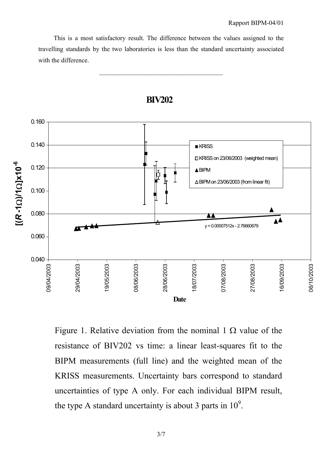This is a most satisfactory result. The difference between the values assigned to the travelling standards by the two laboratories is less than the standard uncertainty associated with the difference.

 $\mathcal{L}_\text{max}$  and  $\mathcal{L}_\text{max}$  and  $\mathcal{L}_\text{max}$  and  $\mathcal{L}_\text{max}$ 



**BIV202**

Figure 1. Relative deviation from the nominal 1  $\Omega$  value of the resistance of BIV202 vs time: a linear least-squares fit to the BIPM measurements (full line) and the weighted mean of the KRISS measurements. Uncertainty bars correspond to standard uncertainties of type A only. For each individual BIPM result, the type A standard uncertainty is about 3 parts in  $10^9$ .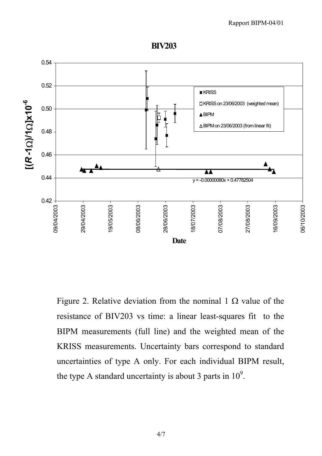



Figure 2. Relative deviation from the nominal 1  $\Omega$  value of the resistance of BIV203 vs time: a linear least-squares fit to the BIPM measurements (full line) and the weighted mean of the KRISS measurements. Uncertainty bars correspond to standard uncertainties of type A only. For each individual BIPM result, the type A standard uncertainty is about 3 parts in  $10^9$ .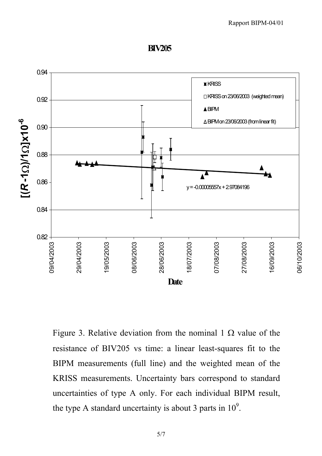**BIV205**



Figure 3. Relative deviation from the nominal 1  $\Omega$  value of the resistance of BIV205 vs time: a linear least-squares fit to the BIPM measurements (full line) and the weighted mean of the KRISS measurements. Uncertainty bars correspond to standard uncertainties of type A only. For each individual BIPM result, the type A standard uncertainty is about 3 parts in  $10^9$ .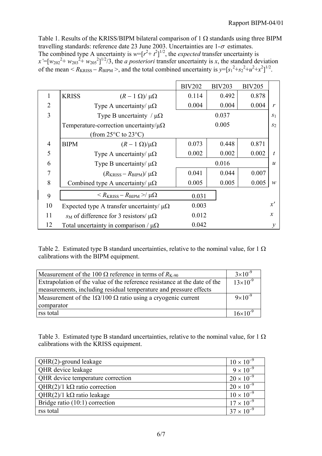Table 1. Results of the KRISS/BIPM bilateral comparison of 1  $\Omega$  standards using three BIPM travelling standards: reference date 23 June 2003. Uncertainties are  $1-\sigma$  estimates. The combined type A uncertainty is  $w=[r^2+t^2]^{1/2}$ , the *expected* transfer uncertainty is  $x'=[w_{202}^2 + w_{203}^2 + w_{205}^2]^{1/2}/3$ , the *a posteriori* transfer uncertainty is *x*, the standard deviation of the mean  $\leq R_{\text{KRISS}} - R_{\text{BIPM}} \geq$ , and the total combined uncertainty is  $y = [s_1^2 + s_2^2 + u^2 + x^2]^{1/2}$ .

|                |                                                 |                                                       | <b>BIV202</b> | <b>BIV203</b> | <b>BIV205</b> |                  |
|----------------|-------------------------------------------------|-------------------------------------------------------|---------------|---------------|---------------|------------------|
| 1              | <b>KRISS</b>                                    | $(R-1 \Omega)/\mu\Omega$                              | 0.114         | 0.492         | 0.878         |                  |
| $\overline{2}$ |                                                 | Type A uncertainty/ $\mu\Omega$                       | 0.004         | 0.004         | 0.004         | r                |
| 3              | Type B uncertainty / $\mu\Omega$                |                                                       |               | 0.037         |               | S <sub>1</sub>   |
|                | Temperature-correction uncertainty/ $\mu\Omega$ |                                                       | 0.005         |               |               | S <sub>2</sub>   |
|                |                                                 | (from $25^{\circ}$ C to $23^{\circ}$ C)               |               |               |               |                  |
| $\overline{4}$ | <b>BIPM</b>                                     | $(R-1 \Omega)/\mu\Omega$                              | 0.073         | 0.448         | 0.871         |                  |
| 5              |                                                 | Type A uncertainty/ $\mu\Omega$                       | 0.002         | 0.002         | 0.002         | $\boldsymbol{t}$ |
| 6              |                                                 | Type B uncertainty/ $\mu\Omega$                       |               | 0.016         |               | $\boldsymbol{u}$ |
| 7              |                                                 | $(R_{\text{KRISS}} - R_{\text{BIPM}})/\mu\Omega$      | 0.041         | 0.044         | 0.007         |                  |
| 8              | Combined type A uncertainty/ $\mu\Omega$        |                                                       | 0.005         | 0.005         | 0.005         | $\boldsymbol{w}$ |
| 9              |                                                 | $\langle R_{\rm KRISS}-R_{\rm BIPM}\rangle/\mu\Omega$ | 0.031         |               |               |                  |
| 10             |                                                 | Expected type A transfer uncertainty/ $\mu\Omega$     | 0.003         |               |               | x'               |
| 11             |                                                 | $s_M$ of difference for 3 resistors/ $\mu\Omega$      | 0.012         |               |               | $\mathcal{X}$    |
| 12             |                                                 | Total uncertainty in comparison / $\mu\Omega$         | 0.042         |               |               | $\mathcal{Y}$    |

Table 2. Estimated type B standard uncertainties, relative to the nominal value, for 1  $\Omega$ calibrations with the BIPM equipment.

| Measurement of the 100 $\Omega$ reference in terms of $R_{K-90}$          | $3\times10^{-9}$  |
|---------------------------------------------------------------------------|-------------------|
| Extrapolation of the value of the reference resistance at the date of the | $13\times10^{-9}$ |
| measurements, including residual temperature and pressure effects         |                   |
| Measurement of the $1\Omega/100 \Omega$ ratio using a cryogenic current   | $9\times10^{-9}$  |
| comparator                                                                |                   |
| rss total                                                                 | $16\times10^{-9}$ |

Table 3. Estimated type B standard uncertainties, relative to the nominal value, for 1  $\Omega$ calibrations with the KRISS equipment.

| QHR(2)-ground leakage                | $10 \times 10^{-9}$ |
|--------------------------------------|---------------------|
| <b>QHR</b> device leakage            | $9 \times 10^{-9}$  |
| QHR device temperature correction    | $20 \times 10^{-9}$ |
| QHR(2)/1 k $\Omega$ ratio correction | $20 \times 10^{-9}$ |
| QHR(2)/1 k $\Omega$ ratio leakage    | $10 \times 10^{-9}$ |
| Bridge ratio $(10:1)$ correction     | $17 \times 10^{-9}$ |
| rss total                            | $37 \times 10^{-9}$ |